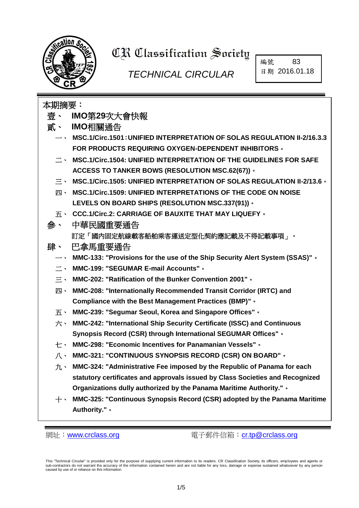

# **CR Classification Society**

## *TECHNICAL CIRCULAR*

編號 83 日期 2016.01.18

| 本期摘要:           |                                                                                                  |  |  |  |  |
|-----------------|--------------------------------------------------------------------------------------------------|--|--|--|--|
|                 | 壹、 IMO第29次大會快報                                                                                   |  |  |  |  |
|                 | 貳、 IMO相關通告                                                                                       |  |  |  |  |
|                 | $\rightarrow$ MSC.1/Circ.1501: UNIFIED INTERPRETATION OF SOLAS REGULATION II-2/16.3.3            |  |  |  |  |
|                 | <b>FOR PRODUCTS REQUIRING OXYGEN-DEPENDENT INHIBITORS .</b>                                      |  |  |  |  |
|                 | 二、 MSC.1/Circ.1504: UNIFIED INTERPRETATION OF THE GUIDELINES FOR SAFE                            |  |  |  |  |
|                 | <b>ACCESS TO TANKER BOWS (RESOLUTION MSC.62(67)) .</b>                                           |  |  |  |  |
| $\equiv$ $\sim$ | MSC.1/Circ.1505: UNIFIED INTERPRETATION OF SOLAS REGULATION II-2/13.6 .                          |  |  |  |  |
| 四、              | MSC.1/Circ.1509: UNIFIED INTERPRETATIONS OF THE CODE ON NOISE                                    |  |  |  |  |
|                 | LEVELS ON BOARD SHIPS (RESOLUTION MSC.337(91)) .                                                 |  |  |  |  |
|                 | 五、 CCC.1/Circ.2: CARRIAGE OF BAUXITE THAT MAY LIQUEFY。                                           |  |  |  |  |
| 參、              | 中華民國重要通告                                                                                         |  |  |  |  |
|                 | 訂定「國內固定航線載客船舶乘客運送定型化契約應記載及不得記載事項」。                                                               |  |  |  |  |
| 肆、              | 巴拿馬重要通告                                                                                          |  |  |  |  |
|                 | $\rightarrow$ MMC-133: "Provisions for the use of the Ship Security Alert System (SSAS)" $\circ$ |  |  |  |  |
|                 | 二、 MMC-199: "SEGUMAR E-mail Accounts"。                                                           |  |  |  |  |
|                 | $\Xi$ MMC-202: "Ratification of the Bunker Convention 2001" $\Phi$                               |  |  |  |  |
| 四、              | MMC-208: "Internationally Recommended Transit Corridor (IRTC) and                                |  |  |  |  |
|                 | <b>Compliance with the Best Management Practices (BMP)"</b> .                                    |  |  |  |  |
|                 | 五、 MMC-239: "Segumar Seoul, Korea and Singapore Offices"。                                        |  |  |  |  |
| 六、              | MMC-242: "International Ship Security Certificate (ISSC) and Continuous                          |  |  |  |  |
|                 | Synopsis Record (CSR) through International SEGUMAR Offices" .                                   |  |  |  |  |
|                 | $\pm$ $\cdot$ MMC-298: "Economic Incentives for Panamanian Vessels" $\cdot$                      |  |  |  |  |
|                 | 八、 MMC-321: "CONTINUOUS SYNOPSIS RECORD (CSR) ON BOARD"。                                         |  |  |  |  |
| 九、              | MMC-324: "Administrative Fee imposed by the Republic of Panama for each                          |  |  |  |  |
|                 | statutory certificates and approvals issued by Class Societies and Recognized                    |  |  |  |  |
|                 | Organizations dully authorized by the Panama Maritime Authority." .                              |  |  |  |  |
| $+ \cdot$ .     | MMC-325: "Continuous Synopsis Record (CSR) adopted by the Panama Maritime                        |  |  |  |  |
|                 | Authority." .                                                                                    |  |  |  |  |

網址:[www.crclass.org](http://www.crclass.org/) 電子郵件信箱:[cr.tp@crclass.org](mailto:cr.tp@crclass.org)

This "Technical Circular" is provided only for the purpose of supplying current information to its readers. CR Classification Society, its officers, employees and agents or<br>sub-contractors do not warrant the accuracy of th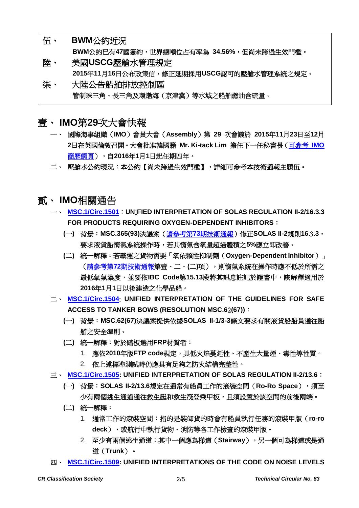- 伍、 **BWM**[公約近況](#page-3-0) **BWM**公約已有**47**國簽約,世界總噸位占有率為 **34.56%**,但尚未跨過生效門檻。 陸、 美國**USCG**[壓艙水管理規定](#page-4-0) **2015**年**11**月**16**日公布政策信,修正延期採用**USCG**認可的壓艙水管理系統之規定。
- 柒、 [大陸公告船舶排放控制區](#page-4-1) 管制珠三角、長三角及環渤海(京津冀)等水域之船舶燃油含硫量。

<span id="page-1-0"></span>壹、 **IMO**第**29**次大會快報

- 一、 國際海事組織(**IMO**)會員大會(**Assembly**)第 **29** 次會議於 **2015**年**11**月**23**日至**12**月 **2**日在英國倫敦召開。大會批准韓國籍 **Mr. Ki-tack Lim** 擔任下一任秘書長[\(可參考](http://www.imo.org/en/MediaCentre/PressBriefings/Pages/30-SG-election.aspx) **IMO**  [簡歷網頁\)](http://www.imo.org/en/MediaCentre/PressBriefings/Pages/30-SG-election.aspx),自**2016**年**1**月**1**日起任期四年。
- 二、 壓艙水公約現況:本公約【尚未跨過生效門檻】,詳細可參考本技術通報主題伍。
- <span id="page-1-1"></span>貳、 **IMO**相關通告
	- 一、 **[MSC.1/Circ.1501](http://www.crclass.org/chinese/download/ti-tc/83/2-1MSC.1-Circ.1501%20-%20Unified%20Interpretation%20Of%20Solas%20Regulation%20Ii-216.3.3%20For%20Products%20Requiring%20Oxygen-Depend...%20(Secretariat)%20(1).pdf)**:**UN**I**FIED INTERPRETATION OF SOLAS REGULATION II-2/16.3.3 FOR PRODUCTS REQUIRING OXYGEN-DEPENDENT INHIBITORS**:
		- **(**一**)** 背景:**MSC.365(93)**決議案(請參考第**73**[期技術通報\)](http://www.crclass.org/chinese/download/ti-tc/73/73.pdf)修正**SOLAS II-2**規則**16.**3**.3**, 要求液貨船惰氣系統操作時,若其惰氣含氧量超過體積之**5%**應立即改善。
		- **(**二**)** 統一解釋:若載運之貨物需要「氧依賴性抑制劑(**Oxygen-Dependent Inhibitor**)」 (請參考第**72**[期技術通報第](http://www.crclass.org/chinese/download/ti-tc/72/72.pdf)壹、二、**(**二**)**項),則惰氣系統在操作時應不低於所需之 最低氧氣濃度,並要依**IBC Code**第**15.13**段將其訊息註記於證書中,該解釋適用於 **2016**年**1**月**1**日以後建造之化學品船。
	- 二、 **[MSC.1/Circ.1504](http://www.crclass.org/chinese/download/ti-tc/83/2-2MSC.1-Circ.1504%20-%20Unified%20Interpretation%20Of%20The%20Guidelines%20For%20Safe%20Access%20To%20Tanker%20Bows%20(Resolution%20Msc.62...%20(Secretariat).pdf)**: **UNIFIED INTERPRETATION OF THE GUIDELINES FOR SAFE ACCESS TO TANKER BOWS (RESOLUTION MSC.6**2**(67))**:
		- **(**一**)** 背景:**MSC.62(67)**決議案提供依據**SOLAS II-1/3-3**條文要求有關液貨船船員通往船 艏之安全準則。
		- **(**二**)** 統一解釋:對於踏板選用**FRP**材質者:
			- 1. 應依**2010**年版**FTP code**規定,具低火焰蔓延性、不產生大量煙、毒性等性質。
			- 2. 依上述標準測試時仍應具有足夠之防火結構完整性。
	- 三、 **[MSC.1/Circ.1505:](http://www.crclass.org/chinese/download/ti-tc/83/2-3MSC.1-Circ.1505%20-%20Unified%20Interpretation%20Of%20Solas%20Regulation%20Ii-213.6%20(Secretariat).pdf) UNIFIED INTERPRETATION OF SOLAS REGULATION II-2/13.6**:
		- **(**一**)** 背景:**SOLAS II-2/13.6**規定在通常有船員工作的滾裝空間(**Ro-Ro Space**),須至 少有兩個逃生通道通往救生艇和救生筏登乘甲板,且須設置於該空間的前後兩端。
		- **(**二**)** 統一解釋:
			- 1. 通常工作的滾裝空間:指的是裝卸貨的時會有船員執行任務的滾裝甲版(**ro-ro**  deck), 或航行中執行貨物、消防等各工作檢查的滾裝甲版。
			- 2. 至少有兩個逃生通道:其中一個應為梯道(**Stairway**),另一個可為梯道或是通 道(**Trunk**)。
	- 四、 **[MSC.1/Circ.1509:](http://www.crclass.org/chinese/download/ti-tc/83/2-4MSC.1-Circ.1509%20-%20Unified%20Interpretations%20Of%20The%20Code%20On%20Noise%20Levels%20On%20Board%20Ships%20(Resolution%20Msc.337(91)...%20(Secretariat).pdf) UNIFIED INTERPRETATIONS OF THE CODE ON NOISE LEVELS**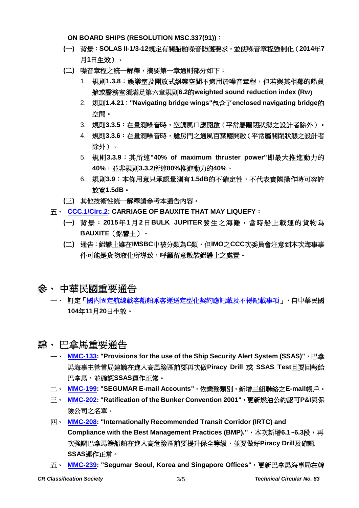**ON BOARD SHIPS (RESOLUTION MSC.337(91))**:

- **(**一**)** 背景:**SOLAS II-1/3-12**規定有關船舶噪音防護要求,並使噪音章程強制化(**2014**年**7** 月**1**日生效)。
- **(**二**)** 噪音章程之統一解釋,摘要第一章通則部分如下:
	- 1. 規則**1.3.8**:娛樂室及開放式娛樂空間不適用於噪音章程,但若與其相鄰的船員 艙或醫務室須滿足第六章規則**6.2**的**weighted sound reduction index (Rw**)
	- 2. 規則**1.4.21**:**"Navigating bridge wings"**包含了**enclosed navigating bridge**的 空間。
	- 3. 規則**3.3.5**:在量測噪音時,空調風口應開啟(平常屬關閉狀態之設計者除外)。
	- 4. 規則3.3.6:在量測噪音時,艙房門之通風百葉應開啟(平常屬關閉狀態之設計者 除外)。
	- 5. 規則**3.3.9**:其所述**"40% of maximum thruster power"**即最大推進動力的 **40%**,並非規則**3.3.2**所述**80%**推進動力的**40%**。
	- 6. 規則**3.9**:本條用意只承認量測有**1.5dB**的不確定性,不代表實際操作時可容許 放寬**1.5dB**。
- **(**三**)** 其他技術性統一解釋請參考本通告內容。
- 五、 **[CCC.1/Circ.2:](http://www.crclass.org/chinese/download/ti-tc/83/2-5%20CCC.1Circ.2%20CARRIAGE%20OF%20BAUXITE%20THAT%20MAY%20LIQUEFY.pdf) CARRIAGE OF BAUXITE THAT MAY LIQUEFY**:
	- **(**一**)** 背景:**2015**年**1**月**2**日**BULK JUPITER**發生之海難, 當時船上載運的貨物為 **BAUXITE**(鋁礬土)。
	- **(**二**)** 通告:鋁礬土雖在**IMSBC**中被分類為**C**類,但**IMO**之**CCC**次委員會注意到本次海事事 件可能是貨物液化所導致,呼籲留意散裝鋁礬土之處置。
- <span id="page-2-0"></span>參、 中華民國重要通告
	- 一、 訂定[「國內固定航線載客船舶乘客運送定型化契約應記載及不得記載事項」](http://odmdoc.motc.gov.tw/IFDEWebBBS_MOTC/ExternalBBS.aspx?ThirdDocId=104RD06993),自中華民國 **104**年**11**月**20**日生效。

#### <span id="page-2-1"></span>肆、 巴拿馬重要通告

- $\blacksquare$  **[MMC-133:](http://www.crclass.org/chinese/download/ti-tc/83/4-1MMC-133.pdf)** "Provisions for the use of the Ship Security Alert System (SSAS)", 巴拿 馬海事主管當局建議在進入高風險區前要再次做**Piracy Drill** 或 **SSAS Test**且要回報給 巴拿馬,並確認**SSAS**運作正常。
- 二、 **[MMC-199:](http://www.crclass.org/chinese/download/ti-tc/83/4-2MMC-199-.pdf) "SEGUMAR E-mail Accounts"**,依業務類別,新增三組聯絡之**E-mail**帳戶。
- 三、 **[MMC-202:](http://www.crclass.org/chinese/download/ti-tc/83/4-3MMC-202-.pdf) "Ratification of the Bunker Convention 2001"**,更新燃油公約認可**P&I**與保 險公司之名單。
- 四、 **[MMC-208:](http://www.crclass.org/chinese/download/ti-tc/83/4-4MMC-208.pdf) "Internationally Recommended Transit Corridor (IRTC) and Compliance with the Best Management Practices (BMP)."**,本次新增**6.1~6.3**段,再 次強調巴拿馬籍船舶在進入高危險區前要提升保全等級,並要做好**Piracy Drill**及確認 **SSAS**運作正常。
- 五、 **[MMC-239:](http://www.crclass.org/chinese/download/ti-tc/83/4-5MMC-239-.pdf) "Segumar Seoul, Korea and Singapore Offices"**,更新巴拿馬海事局在韓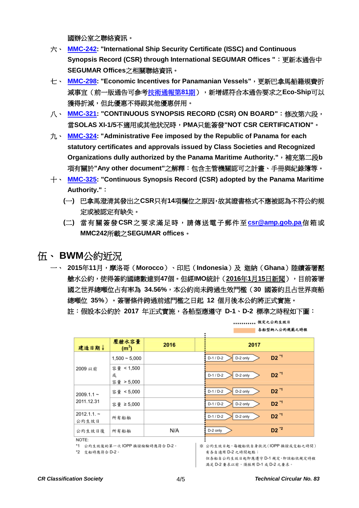國辦公室之聯絡資訊。

- 六、 **[MMC-242:](http://www.crclass.org/chinese/download/ti-tc/83/4-6MMC-242.pdf) "International Ship Security Certificate (ISSC) and Continuous Synopsis Record (CSR) through International SEGUMAR Offices "**:更新本通告中 **SEGUMAR Offices**之相關聯絡資訊。
- 七、 **[MMC-298:](http://www.crclass.org/chinese/download/ti-tc/83/4-7MMC-298.pdf) "Economic Incentives for Panamanian Vessels"**,更新巴拿馬船籍規費折 減事宜(前一版通告可參[考技術通報第](http://www.crclass.org/chinese/download/ti-tc/81/81.pdf)**81**期),新增經符合本通告要求之**Eco-Ship**可以 獲得折減,但此優惠不得跟其他優惠併用。
- 八、 **[MMC-321:](http://www.crclass.org/chinese/download/ti-tc/83/4-8MMC-321-Continuous-Synopsis-Record-CSR-On-Board.pdf) "CONTINUOUS SYNOPSIS RECORD (CSR) ON BOARD"**:修改第六段, 當**SOLAS XI-1/5**不適用或其他狀況時,**PMA**只能簽發**"NOT CSR CERTIFICATION"**。
- 九、 **[MMC-324:](http://www.crclass.org/chinese/download/ti-tc/83/4-9MMC-324-.dec-pdf.pdf) "Administrative Fee imposed by the Republic of Panama for each statutory certificates and approvals issued by Class Societies and Recognized Organizations dully authorized by the Panama Maritime Authority."**,補充第二段**b** 項有關於**"Any other document"**之解釋:包含主管機關認可之計畫、手冊與紀錄簿等。
- 十、 **[MMC-325:](http://www.crclass.org/chinese/download/ti-tc/83/4-10MMC-325--CSR-December-2015.pdf) "Continuous Synopsis Record (CSR) adopted by the Panama Maritime Authority."**:
	- **(**一**)** 巴拿馬澄清其發出之**CSR**只有**14**項欄位之原因,故其證書格式不應被認為不符公約規 定或被認定有缺失。
	- **(**二**)** 當有關簽發**CSR**之要求滿足時,請傳送電子郵件至 **[csr@amp.gob.pa](mailto:csr@amp.gob.pa)**信箱或 **MMC242**所載之**SEGUMAR offices**。

#### <span id="page-3-0"></span>伍、 **BWM**公約近況

一、 **2015**年**11**月,摩洛哥(**Morocco**)、印尼(**Indonesia**)及 迦納(**Ghana**)陸續簽署壓 艙水公約,使得簽約國總數達到**47**個。但經**IMO**統計(**2016**年**1**月**15**[日新聞\)](http://www.imo.org/en/MediaCentre/PressBriefings/Pages/02-bwm-count.aspx),目前簽署 國之世界總噸位占有率為 **34.56%**,本公約尚未跨過生效門檻(**30** 國簽約且占世界商船 總噸位 **35%**)。簽署條件跨過前述門檻之日起 **12** 個月後本公約將正式實施。 註:假設本公約於 **2017** 年正式實施,各船型應遵守 **D-1**、**D-2** 標準之時程如下圖:

|                       |                                 |      |                                  |                       | 合船型刑八公列规範之时程       |
|-----------------------|---------------------------------|------|----------------------------------|-----------------------|--------------------|
| 建造日期↓                 | 壓艙水容量<br>(m <sup>3</sup> )      | 2016 |                                  | 2017                  |                    |
|                       | $1,500 - 5,000$                 |      |                                  | $D-1/D-2$<br>D-2 only | D2 <sup>*1</sup>   |
| 2009 以前               | 容量 < 1,500<br>或<br>容量 > 5,000   |      |                                  | D-2 only<br>$D-1/D-2$ | $D2$ <sup>"1</sup> |
| $2009.1.1 -$          | 容量 <5,000                       |      |                                  | D-2 only<br>D-1 / D-2 | D2 <sup>*1</sup>   |
| 2011.12.31            | 容量 ≥5,000                       |      |                                  | $D-1/D-2$<br>D-2 only | D2 <sup>"1</sup>   |
| $2012.1.1 -$<br>公約生效日 | 所有船舶                            |      |                                  | $D-1/D-2$<br>D-2 only | D2 <sup>*1</sup>   |
| 公約生效日後                | 所有船舶                            | N/A  |                                  | D-2 only              | $D2^2$             |
| NOTE:                 | *1 公約生效後的第一次 IOPP 换證檢驗時應符合 D-2。 |      | ※ 公約生效日起,每艘船依自身狀況(IOPP 換證或交船之時間) |                       |                    |

\*2 交船時應符合 D-2。

※ 公約生效日起,每艘船依自身狀況(IOPP 換證或交船之時間) 有各自適用 D-2 之時間起點; 但各船自公约生效日起即應遵守 D-1 規定, 即該船依規定時程 滿足 D-2 要求以前, 須採用 D-1 或 D-2 之要求。

........... 假定之公约生效日

the dependence of the problem of the second